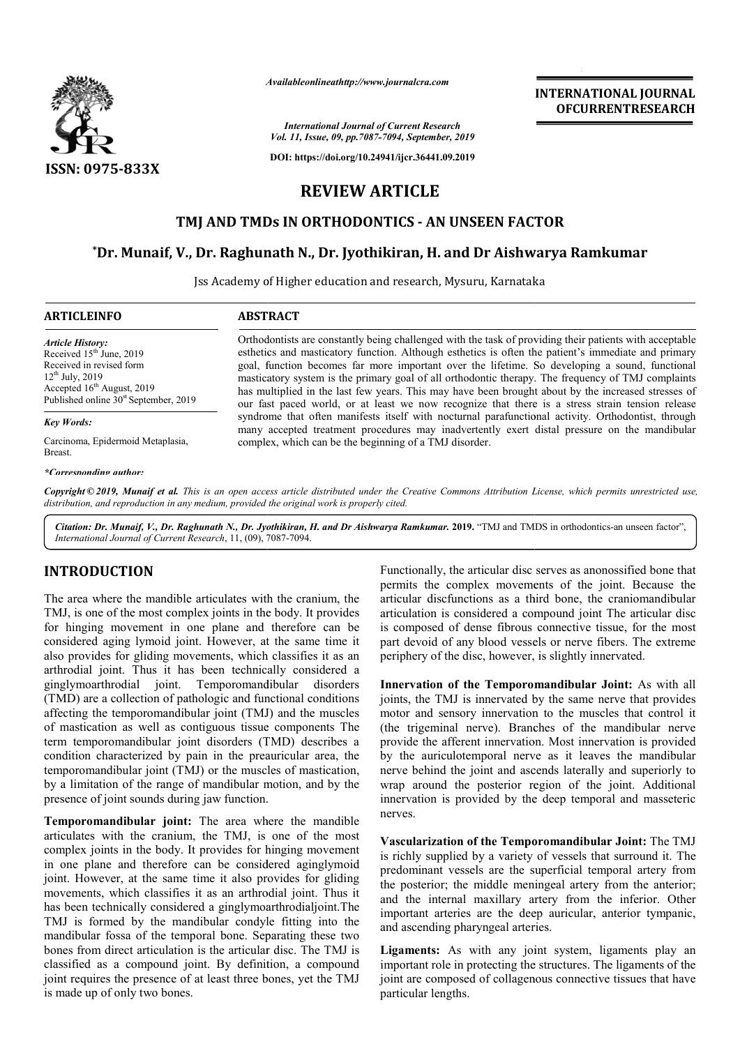

*Availableonlineathttp://www.journal Availableonlineathttp://www.journalcra.com*

# **INTERNATIONAL JOURNAL OFCURRENTRESEARCH**

*International Journal of Current Research Vol. 11, Issue, 09, pp.7087-7094, September, 2019*

**DOI: https://doi.org/10.24941/ijcr.36441.09.2019**

# **REVIEW ARTICLE**

## **TMJ AND TMDs IN ORTHODONTICS - AN UNSEEN FACTOR UNSEEN FACTOR**

# **\*Dr. Munaif, V., Dr. Raghunath N., r. Dr. Jyothikiran, H. and Dr Aishwarya Ramkumar**

Jss Academy of Higher education and research, Mysuru, Karnataka

#### **ARTICLEINFO ABSTRACT**

*Article History:* Received 15<sup>th</sup> June, 2019 Received in revised form  $12^{th}$  July,  $2019$ Accepted 16<sup>th</sup> August, 2019 Published online  $30<sup>st</sup>$  September, 2019

*Key Words:*

Carcinoma, Epidermoid Metaplasia, **Breast.** 

#### *\*Corresponding author:*

Orthodontists are constantly being challenged with the task of providing their patients with acceptable esthetics and masticatory function. Although esthetics is often the patient's immediate and primary goal, function becomes far more important over the l lifetime. So developing a sound, functional masticatory system is the primary goal of all orthodontic therapy. The frequency of TMJ complaints has multiplied in the last few years. This may have been brought about by the increased stresses of our fast paced world, or at least we now recognize that there is a stress strain tension release syndrome that often manifests itself with nocturnal parafunctional activity. Orthodontist, through many accepted treatment procedures may inadvertently exert distal pressure on the mandibular complex, which can be the beginning of a TMJ disorder. Orthodontists are constantly being challenged with the task of providing their patients with acceptable esthetics and masticatory function. Although esthetics is often the patient's immediate and primary goal, function bec

Copyright © 2019, Munaif et al. This is an open access article distributed under the Creative Commons Attribution License, which permits unrestricted use, *distribution, and reproduction in any medium, provided the original work is properly cited.*

Citation: Dr. Munaif, V., Dr. Raghunath N., Dr. Jyothikiran, H. and Dr Aishwarya Ramkumar. 2019. "TMJ and TMDS in orthodontics-an unseen factor", *International Journal of Current Research*, 11, (09), 7087 7087-7094.

## **INTRODUCTION**

The area where the mandible articulates with the cranium, the TMJ, is one of the most complex joints in the body. It provides for hinging movement in one plane and therefore can be considered aging lymoid joint. However, at the same time it also provides for gliding movements, which classifies it as an arthrodial joint. Thus it has been technically considered a ginglymoarthrodial joint. Temporomandibular disorders (TMD) are a collection of pathologic and functional conditions affecting the temporomandibular joint (TMJ) and the muscles of mastication as well as contiguous tissue components The term temporomandibular joint disorders (TMD) describes a condition characterized by pain in the preauricular area, the temporomandibular joint (TMJ) or the muscles of mastication, by a limitation of the range of mandibular motion, and by the presence of joint sounds during jaw function. or gliding movements, which classifies it as an<br>t. Thus it has been technically considered a<br>dial joint. Temporomandibular disorders<br>ollection of pathologic and functional conditions<br>mporomandibular joint (TMJ) and the mus

**Temporomandibular joint:** The area where the mandible articulates with the cranium, the TMJ, is one of the most complex joints in the body. It provides for hinging movement in one plane and therefore can be considered aginglymoid joint. However, at the same time it also provides for gliding movements, which classifies it as an arthrodial joint. Thus it has been technically considered a ginglymoarthrodialjoint.The TMJ is formed by the mandibular condyle fitting into the mandibular fossa of the temporal bone. Separating these two bones from direct articulation is the articular disc. The TMJ is classified as a compound joint. By definition, a joint requires the presence of at least three bones, yet the TMJ is made up of only two bones. dy. It provides for hinging movement<br>fore can be considered aginglymoid<br>ame time it also provides for gliding<br>iffes it as an arthrodial joint. Thus it<br>sidered a ginglymoarthrodialjoint. The<br>mandibular condyle fitting into Functionally, the articular disc serves as anonossified bone that permits the complex movements of the joint. Because the articular discfunctions as a third bone, the craniomandibular articulation is considered a compound joint The articular disc is composed of dense fibrous connective tissue, for the most part devoid of any blood vessels or nerve fibers. The extreme periphery of the disc, however, is slightly innervated. Functionally, the articular disc serves as anonossified permits the complex movements of the joint. Be articular discfunctions as a third bone, the cranion articulation is considered a compound joint The art is composed of

**Innervation of the Temporomandibular Joint:** As with all joints, the TMJ is innervated by the same nerve that provides motor and sensory innervation to the muscles that control it (the trigeminal nerve). Branches of the mandibular nerv provide the afferent innervation. Most innervation is provided by the auriculotemporal nerve as it leaves the mandibular nerve behind the joint and ascends laterally and superiorly to wrap around the posterior region of the joint. Additional innervation is provided by the deep temporal and masseteric nerves. joints, the TMJ is innervated by the same nerve that provides motor and sensory innervation to the muscles that control it (the trigeminal nerve). Branches of the mandibular nerve provide the afferent innervation. Most innervation<br>by the auriculotemporal nerve as it leaves the<br>nerve behind the joint and ascends laterally and s<br>wrap around the posterior region of the joint.<br>innervation is provided by INTERNATIONAL JOUENNAL<br> **CHERNATIONAL CONVERENT (CHERNATIONAL FORMAL CONVERENT (CHERNATIONAL CONVERT)**<br> **CHERNATION CONVERT CONVERT CONVERT CONVERT CONVERT CONVERT CONVERT CONVERT CONVERT CONVERT CONVERT AND (CHERNATION)** 

**Vascularization of the Temporomandibular Joint Joint:** The TMJ is richly supplied by a variety of vessels that surround it. The predominant vessels are the superficial temporal artery from the posterior; the middle meningeal artery from the anterior; and the internal maxillary artery from the inferior. Other important arteries are the deep auricular, anterior tympanic, and ascending pharyngeal arteries.

Ligaments: As with any joint system, ligaments play an important role in protecting the structures. The ligaments of the joint are composed of collagenous connective tissues that have particular lengths.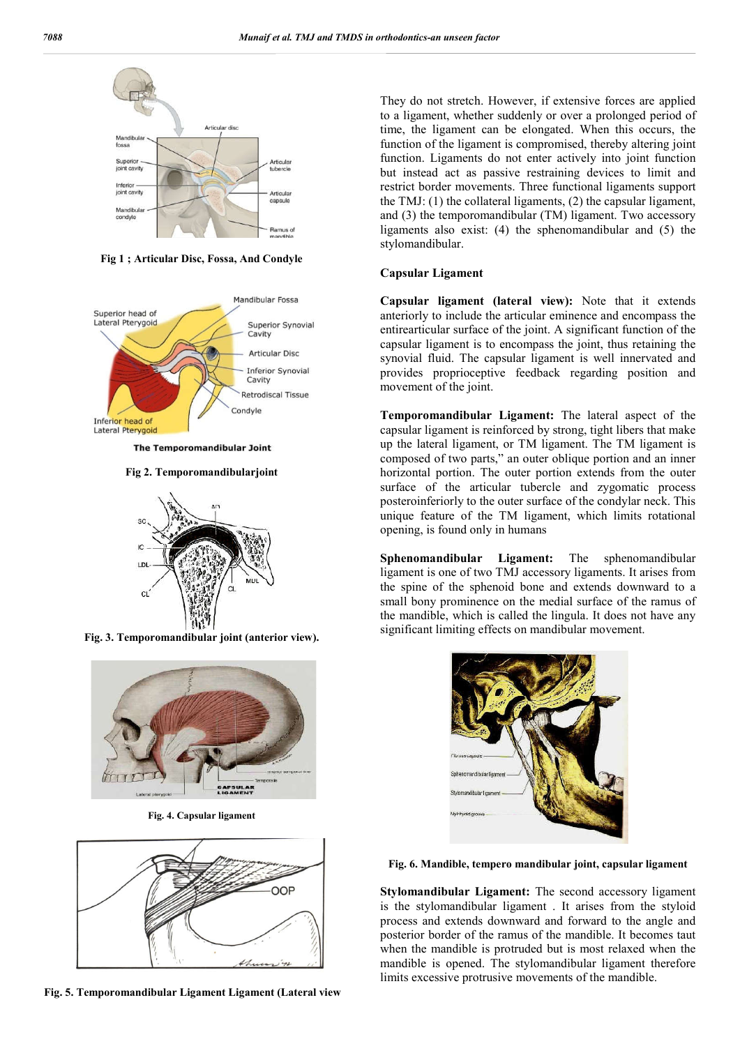

**Fig 1 ; Articular Disc, Fossa, And Condyle**



The Temporomandibular Joint

#### **Fig 2. Temporomandibularjoint**



**Fig. 3. Temporomandibular joint (anterior view).**



**Fig. 4. Capsular ligament**



**Fig. 5. Temporomandibular Ligament Ligament (Lateral view**

They do not stretch. However, if extensive forces are applied to a ligament, whether suddenly or over a prolonged period of time, the ligament can be elongated. When this occurs, the function of the ligament is compromised, thereby altering joint function. Ligaments do not enter actively into joint function but instead act as passive restraining devices to limit and restrict border movements. Three functional ligaments support the TMJ: (1) the collateral ligaments, (2) the capsular ligament, and (3) the temporomandibular (TM) ligament. Two accessory ligaments also exist: (4) the sphenomandibular and (5) the stylomandibular.

#### **Capsular Ligament**

**Capsular ligament (lateral view):** Note that it extends anteriorly to include the articular eminence and encompass the entirearticular surface of the joint. A significant function of the capsular ligament is to encompass the joint, thus retaining the synovial fluid. The capsular ligament is well innervated and provides proprioceptive feedback regarding position and movement of the joint.

**Temporomandibular Ligament:** The lateral aspect of the capsular ligament is reinforced by strong, tight libers that make up the lateral ligament, or TM ligament. The TM ligament is composed of two parts," an outer oblique portion and an inner horizontal portion. The outer portion extends from the outer surface of the articular tubercle and zygomatic process posteroinferiorly to the outer surface of the condylar neck. This unique feature of the TM ligament, which limits rotational opening, is found only in humans

**Sphenomandibular Ligament:** The sphenomandibular ligament is one of two TMJ accessory ligaments. It arises from the spine of the sphenoid bone and extends downward to a small bony prominence on the medial surface of the ramus of the mandible, which is called the lingula. It does not have any significant limiting effects on mandibular movement.



**Fig. 6. Mandible, tempero mandibular joint, capsular ligament**

**Stylomandibular Ligament:** The second accessory ligament is the stylomandibular ligament . It arises from the styloid process and extends downward and forward to the angle and posterior border of the ramus of the mandible. It becomes taut when the mandible is protruded but is most relaxed when the mandible is opened. The stylomandibular ligament therefore limits excessive protrusive movements of the mandible.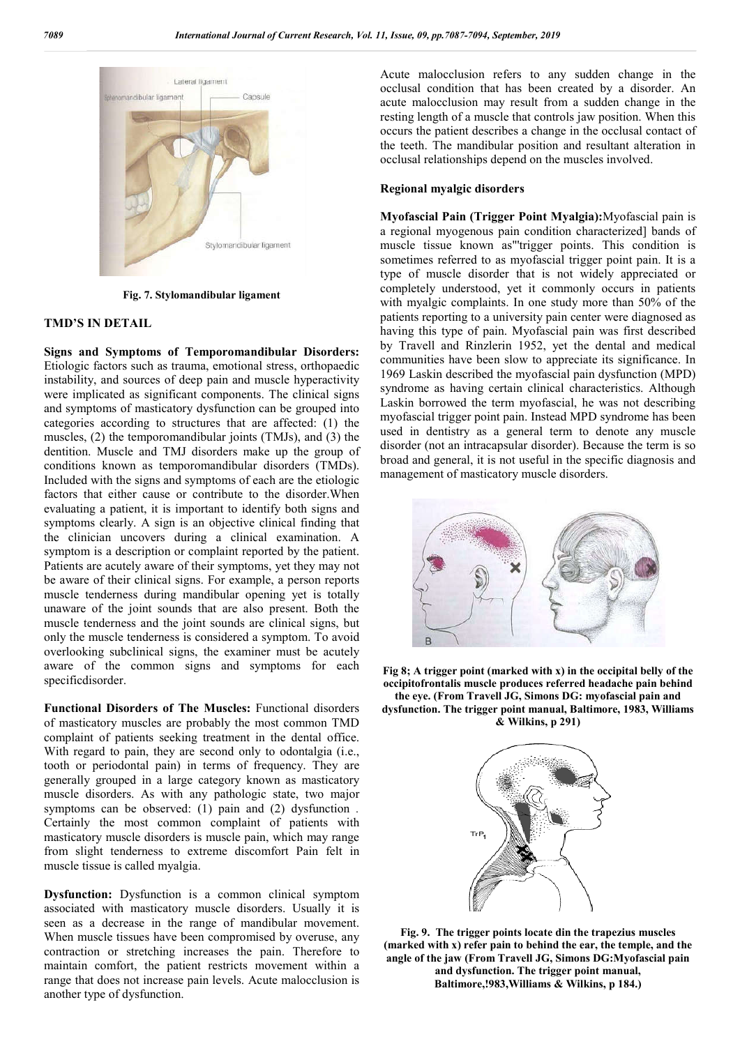

**Fig. 7. Stylomandibular ligament**

## **TMD'S IN DETAIL**

**Signs and Symptoms of Temporomandibular Disorders:**  Etiologic factors such as trauma, emotional stress, orthopaedic instability, and sources of deep pain and muscle hyperactivity were implicated as significant components. The clinical signs and symptoms of masticatory dysfunction can be grouped into categories according to structures that are affected: (1) the muscles, (2) the temporomandibular joints (TMJs), and (3) the dentition. Muscle and TMJ disorders make up the group of conditions known as temporomandibular disorders (TMDs). Included with the signs and symptoms of each are the etiologic factors that either cause or contribute to the disorder.When evaluating a patient, it is important to identify both signs and symptoms clearly. A sign is an objective clinical finding that the clinician uncovers during a clinical examination. A symptom is a description or complaint reported by the patient. Patients are acutely aware of their symptoms, yet they may not be aware of their clinical signs. For example, a person reports muscle tenderness during mandibular opening yet is totally unaware of the joint sounds that are also present. Both the muscle tenderness and the joint sounds are clinical signs, but only the muscle tenderness is considered a symptom. To avoid overlooking subclinical signs, the examiner must be acutely aware of the common signs and symptoms for each specificdisorder.

**Functional Disorders of The Muscles:** Functional disorders of masticatory muscles are probably the most common TMD complaint of patients seeking treatment in the dental office. With regard to pain, they are second only to odontalgia (i.e., tooth or periodontal pain) in terms of frequency. They are generally grouped in a large category known as masticatory muscle disorders. As with any pathologic state, two major symptoms can be observed: (1) pain and (2) dysfunction *.*  Certainly the most common complaint of patients with masticatory muscle disorders is muscle pain, which may range from slight tenderness to extreme discomfort Pain felt in muscle tissue is called myalgia.

**Dysfunction:** Dysfunction is a common clinical symptom associated with masticatory muscle disorders. Usually it is seen as a decrease in the range of mandibular movement. When muscle tissues have been compromised by overuse, any contraction or stretching increases the pain. Therefore to maintain comfort, the patient restricts movement within a range that does not increase pain levels. Acute malocclusion is another type of dysfunction.

Acute malocclusion refers to any sudden change in the occlusal condition that has been created by a disorder. An acute malocclusion may result from a sudden change in the resting length of a muscle that controls jaw position. When this occurs the patient describes a change in the occlusal contact of the teeth. The mandibular position and resultant alteration in occlusal relationships depend on the muscles involved.

### **Regional myalgic disorders**

**Myofascial Pain (Trigger Point Myalgia):**Myofascial pain is a regional myogenous pain condition characterized] bands of muscle tissue known as"'trigger points. This condition is sometimes referred to as myofascial trigger point pain. It is a type of muscle disorder that is not widely appreciated or completely understood, yet it commonly occurs in patients with myalgic complaints. In one study more than 50% of the patients reporting to a university pain center were diagnosed as having this type of pain. Myofascial pain was first described by Travell and Rinzlerin 1952, yet the dental and medical communities have been slow to appreciate its significance. In 1969 Laskin described the myofascial pain dysfunction (MPD) syndrome as having certain clinical characteristics. Although Laskin borrowed the term myofascial, he was not describing myofascial trigger point pain. Instead MPD syndrome has been used in dentistry as a general term to denote any muscle disorder (not an intracapsular disorder). Because the term is so broad and general, it is not useful in the specific diagnosis and management of masticatory muscle disorders.



**Fig 8; A trigger point (marked with x) in the occipital belly of the occipitofrontalis muscle produces referred headache pain behind the eye. (From Travell JG, Simons DG: myofascial pain and dysfunction. The trigger point manual, Baltimore, 1983, Williams & Wilkins, p 291)**



**Fig. 9. The trigger points locate din the trapezius muscles (marked with x) refer pain to behind the ear, the temple, and the angle of the jaw (From Travell JG, Simons DG:Myofascial pain and dysfunction. The trigger point manual, Baltimore,!983,Williams & Wilkins, p 184.)**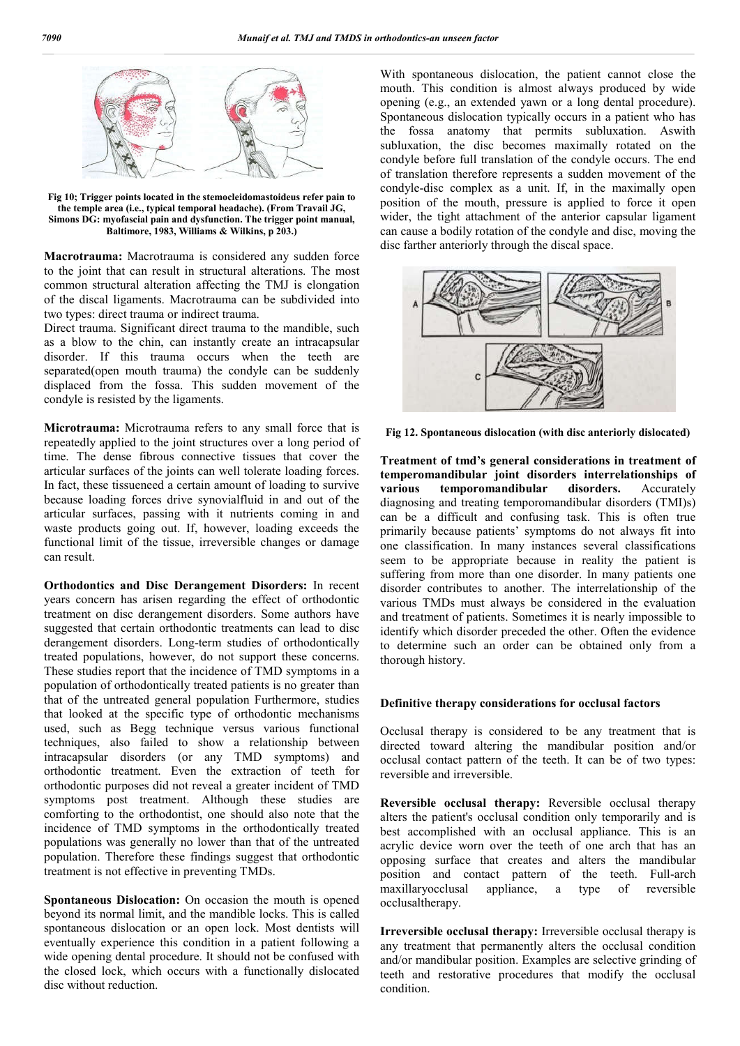

**Fig 10; Trigger points located in the stemocleidomastoideus refer pain to the temple area (i.e., typical temporal headache). (From Travail JG, Simons DG: myofascial pain and dysfunction. The trigger point manual, Baltimore, 1983, Williams & Wilkins, p 203.)**

**Macrotrauma:** Macrotrauma is considered any sudden force to the joint that can result in structural alterations. The most common structural alteration affecting the TMJ is elongation of the discal ligaments. Macrotrauma can be subdivided into two types: direct trauma or indirect trauma.

Direct trauma. Significant direct trauma to the mandible, such as a blow to the chin, can instantly create an intracapsular disorder. If this trauma occurs when the teeth are separated(open mouth trauma) the condyle can be suddenly displaced from the fossa. This sudden movement of the condyle is resisted by the ligaments.

**Microtrauma:** Microtrauma refers to any small force that is repeatedly applied to the joint structures over a long period of time. The dense fibrous connective tissues that cover the articular surfaces of the joints can well tolerate loading forces. In fact, these tissueneed a certain amount of loading to survive because loading forces drive synovialfluid in and out of the articular surfaces, passing with it nutrients coming in and waste products going out. If, however, loading exceeds the functional limit of the tissue, irreversible changes or damage can result.

**Orthodontics and Disc Derangement Disorders:** In recent years concern has arisen regarding the effect of orthodontic treatment on disc derangement disorders. Some authors have suggested that certain orthodontic treatments can lead to disc derangement disorders. Long-term studies of orthodontically treated populations, however, do not support these concerns. These studies report that the incidence of TMD symptoms in a population of orthodontically treated patients is no greater than that of the untreated general population Furthermore, studies that looked at the specific type of orthodontic mechanisms used, such as Begg technique versus various functional techniques, also failed to show a relationship between intracapsular disorders (or any TMD symptoms) and orthodontic treatment. Even the extraction of teeth for orthodontic purposes did not reveal a greater incident of TMD symptoms post treatment. Although these studies are comforting to the orthodontist, one should also note that the incidence of TMD symptoms in the orthodontically treated populations was generally no lower than that of the untreated population. Therefore these findings suggest that orthodontic treatment is not effective in preventing TMDs.

**Spontaneous Dislocation:** On occasion the mouth is opened beyond its normal limit, and the mandible locks. This is called spontaneous dislocation or an open lock. Most dentists will eventually experience this condition in a patient following a wide opening dental procedure. It should not be confused with the closed lock, which occurs with a functionally dislocated disc without reduction.

With spontaneous dislocation, the patient cannot close the mouth. This condition is almost always produced by wide opening (e.g., an extended yawn or a long dental procedure). Spontaneous dislocation typically occurs in a patient who has the fossa anatomy that permits subluxation. Aswith subluxation, the disc becomes maximally rotated on the condyle before full translation of the condyle occurs. The end of translation therefore represents a sudden movement of the condyle-disc complex as a unit. If, in the maximally open position of the mouth, pressure is applied to force it open wider, the tight attachment of the anterior capsular ligament can cause a bodily rotation of the condyle and disc, moving the disc farther anteriorly through the discal space.



**Fig 12. Spontaneous dislocation (with disc anteriorly dislocated)**

**Treatment of tmd's general considerations in treatment of temperomandibular joint disorders interrelationships of various temporomandibular disorders.** Accurately diagnosing and treating temporomandibular disorders (TMI)s) can be a difficult and confusing task. This is often true primarily because patients' symptoms do not always fit into one classification. In many instances several classifications seem to be appropriate because in reality the patient is suffering from more than one disorder. In many patients one disorder contributes to another. The interrelationship of the various TMDs must always be considered in the evaluation and treatment of patients. Sometimes it is nearly impossible to identify which disorder preceded the other. Often the evidence to determine such an order can be obtained only from a thorough history.

#### **Definitive therapy considerations for occlusal factors**

Occlusal therapy is considered to be any treatment that is directed toward altering the mandibular position and/or occlusal contact pattern of the teeth. It can be of two types: reversible and irreversible.

**Reversible occlusal therapy:** Reversible occlusal therapy alters the patient's occlusal condition only temporarily and is best accomplished with an occlusal appliance. This is an acrylic device worn over the teeth of one arch that has an opposing surface that creates and alters the mandibular position and contact pattern of the teeth. Full-arch maxillaryocclusal appliance, a type of reversible occlusaltherapy.

**Irreversible occlusal therapy:** Irreversible occlusal therapy is any treatment that permanently alters the occlusal condition and/or mandibular position. Examples are selective grinding of teeth and restorative procedures that modify the occlusal condition.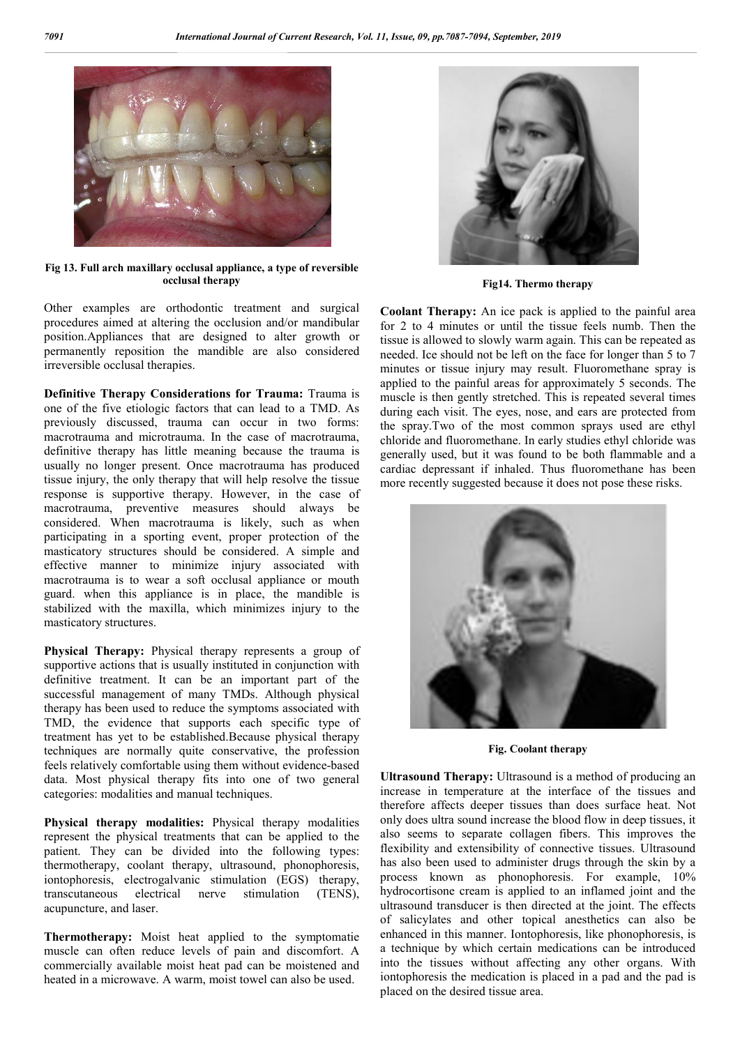

**Fig 13. Full arch maxillary occlusal appliance, a type of reversible occlusal therapy**

Other examples are orthodontic treatment and surgical procedures aimed at altering the occlusion and/or mandibular position.Appliances that are designed to alter growth or permanently reposition the mandible are also considered irreversible occlusal therapies.

**Definitive Therapy Considerations for Trauma:** Trauma is one of the five etiologic factors that can lead to a TMD. As previously discussed, trauma can occur in two forms: macrotrauma and microtrauma. In the case of macrotrauma, definitive therapy has little meaning because the trauma is usually no longer present. Once macrotrauma has produced tissue injury, the only therapy that will help resolve the tissue response is supportive therapy. However, in the case of macrotrauma, preventive measures should always be considered. When macrotrauma is likely, such as when participating in a sporting event, proper protection of the masticatory structures should be considered. A simple and effective manner to minimize injury associated with macrotrauma is to wear a soft occlusal appliance or mouth guard. when this appliance is in place, the mandible is stabilized with the maxilla, which minimizes injury to the masticatory structures.

**Physical Therapy:** Physical therapy represents a group of supportive actions that is usually instituted in conjunction with definitive treatment. It can be an important part of the successful management of many TMDs. Although physical therapy has been used to reduce the symptoms associated with TMD, the evidence that supports each specific type of treatment has yet to be established.Because physical therapy techniques are normally quite conservative, the profession feels relatively comfortable using them without evidence-based data. Most physical therapy fits into one of two general categories: modalities and manual techniques.

**Physical therapy modalities:** Physical therapy modalities represent the physical treatments that can be applied to the patient. They can be divided into the following types: thermotherapy, coolant therapy, ultrasound, phonophoresis, iontophoresis, electrogalvanic stimulation (EGS) therapy,<br>transcutaneous electrical nerve stimulation (TENS). stimulation (TENS), acupuncture, and laser.

**Thermotherapy:** Moist heat applied to the symptomatie muscle can often reduce levels of pain and discomfort. A commercially available moist heat pad can be moistened and heated in a microwave. A warm, moist towel can also be used.



**Fig14. Thermo therapy**

**Coolant Therapy:** An ice pack is applied to the painful area for 2 to 4 minutes or until the tissue feels numb. Then the tissue is allowed to slowly warm again. This can be repeated as needed. Ice should not be left on the face for longer than 5 to 7 minutes or tissue injury may result. Fluoromethane spray is applied to the painful areas for approximately 5 seconds. The muscle is then gently stretched. This is repeated several times during each visit. The eyes, nose, and ears are protected from the spray.Two of the most common sprays used are ethyl chloride and fluoromethane. In early studies ethyl chloride was generally used, but it was found to be both flammable and a cardiac depressant if inhaled. Thus fluoromethane has been more recently suggested because it does not pose these risks.



**Fig. Coolant therapy**

**Ultrasound Therapy:** Ultrasound is a method of producing an increase in temperature at the interface of the tissues and therefore affects deeper tissues than does surface heat. Not only does ultra sound increase the blood flow in deep tissues, it also seems to separate collagen fibers. This improves the flexibility and extensibility of connective tissues. Ultrasound has also been used to administer drugs through the skin by a process known as phonophoresis. For example, 10% hydrocortisone cream is applied to an inflamed joint and the ultrasound transducer is then directed at the joint. The effects of salicylates and other topical anesthetics can also be enhanced in this manner. Iontophoresis, like phonophoresis, is a technique by which certain medications can be introduced into the tissues without affecting any other organs. With iontophoresis the medication is placed in a pad and the pad is placed on the desired tissue area.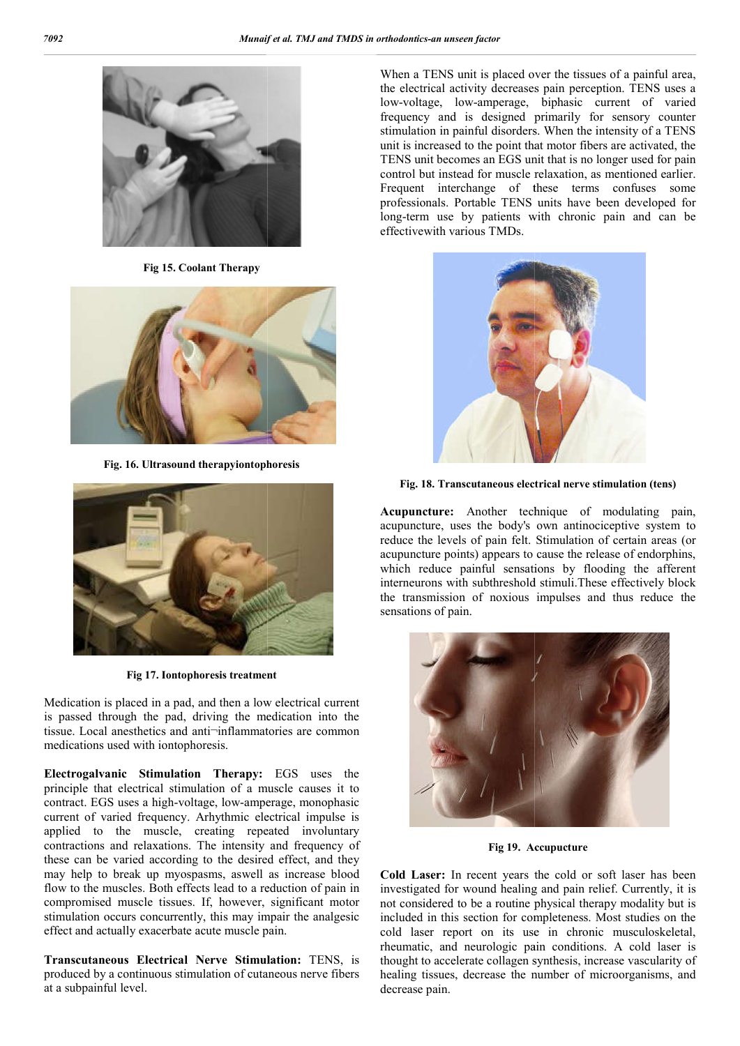

**Fig 15. Coolant Therapy**



**Fig. 16. Ultrasound therapyiontophoresis iontophoresis**



**Fig 17. Iontophoresis treatment**

Medication is placed in a pad, and then a low electrical current is passed through the pad, driving the medication into the tissue. Local anesthetics and anti¬inflammatories are common medications used with iontophoresis.

**Electrogalvanic Stimulation Therapy:**  EGS uses the principle that electrical stimulation of a muscle causes it to contract. EGS uses a high-voltage, low-amperage, monophasic current of varied frequency. Arhythmic electrical impulse is applied to the muscle, creating repeated involuntary contractions and relaxations. The intensity and frequency of these can be varied according to the desired effect, and they may help to break up myospasms, aswell as increase blood flow to the muscles. Both effects lead to a reduction of pain in compromised muscle tissues. If, however, significant motor stimulation occurs concurrently, this may impair the analgesic effect and actually exacerbate acute muscle pain. Itage, low-amperage,<br>Arhythmic electrical<br>creating repeated<br>The intensity and f<br>g to the desired effe

**Transcutaneous Electrical Nerve Stimulation: TENS, is** produced by a continuous stimulation of cutaneous nerve fibers at a subpainful level.

When a TENS unit is placed over the tissues of a painful area, the electrical activity decreases pain perception. TENS uses a low-voltage, low-amperage, biphasic current of varied frequency and is designed primarily for sensory counter stimulation in painful disorders. When the intensity of a TENS unit is increased to the point that motor fibers are activated, the TENS unit becomes an EGS unit that is no longer used for pain control but instead for muscle relaxation, as mentioned earlier. Frequent interchange of these terms confuses some professionals. Portable TENS units have been developed for long-term use by patients with chronic pain and can be effectivewith various TMDs. the electrical activity decreases pain perception. TENS uses a low-voltage, low-amperage, biphasic current of varied frequency and is designed primarily for sensory counter stimulation in painful disorders. When the intens



**Fig. 18. Transcutaneous electrical nerve stimulation (tens)**

**Acupuncture:** Another technique of modulating pain, acupuncture, uses the body's own antinociceptive system to reduce the levels of pain felt. Stimulation of certain areas (or acupuncture points) appears to cause the release of endorphins, which reduce painful sensations by flooding the afferent interneurons with subthreshold stimuli.These effectively block the transmission of noxious impulses and thus reduce the sensations of pain.



**Fig 19. Accupucture Accupucture**

**Cold Laser:** In recent years the cold or soft laser has been Cold Laser: In recent years the cold or soft laser has been investigated for wound healing and pain relief. Currently, it is not considered to be a routine physical therapy modality but is included in this section for completeness. Most studies on the cold laser report on its use in chronic musculoskeletal, not considered to be a routine physical therapy modality but is included in this section for completeness. Most studies on the cold laser report on its use in chronic musculoskeletal, rheumatic, and neurologic pain conditi thought to accelerate collagen synthesis, increase vascularity of healing tissues, decrease the number of microorganisms, and decrease pain.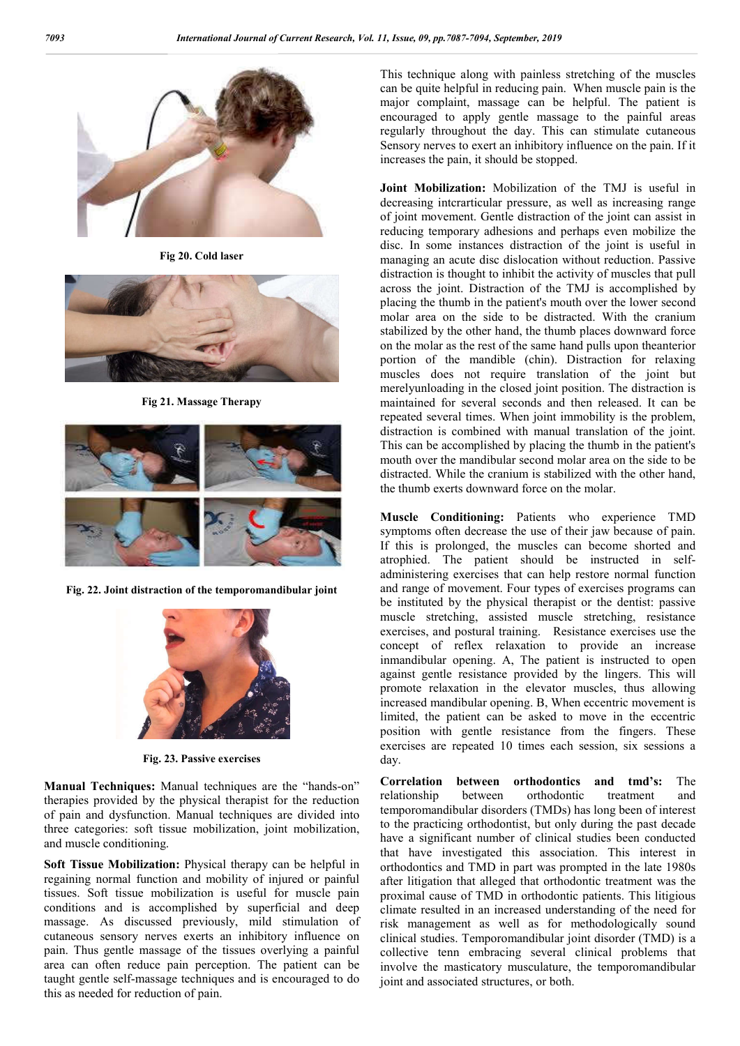

**Fig 20. Cold laser**



**Fig 21. Massage Therapy**



**Fig. 22. Joint distraction of the temporomandibular joint**



**Fig. 23. Passive exercises**

**Manual Techniques:** Manual techniques are the "hands-on" therapies provided by the physical therapist for the reduction of pain and dysfunction. Manual techniques are divided into three categories: soft tissue mobilization, joint mobilization, and muscle conditioning.

**Soft Tissue Mobilization:** Physical therapy can be helpful in regaining normal function and mobility of injured or painful tissues. Soft tissue mobilization is useful for muscle pain conditions and is accomplished by superficial and deep massage. As discussed previously, mild stimulation of cutaneous sensory nerves exerts an inhibitory influence on pain. Thus gentle massage of the tissues overlying a painful area can often reduce pain perception. The patient can be taught gentle self-massage techniques and is encouraged to do this as needed for reduction of pain.

This technique along with painless stretching of the muscles can be quite helpful in reducing pain. When muscle pain is the major complaint, massage can be helpful. The patient is encouraged to apply gentle massage to the painful areas regularly throughout the day. This can stimulate cutaneous Sensory nerves to exert an inhibitory influence on the pain. If it increases the pain, it should be stopped.

**Joint Mobilization:** Mobilization of the TMJ is useful in decreasing intcrarticular pressure, as well as increasing range of joint movement. Gentle distraction of the joint can assist in reducing temporary adhesions and perhaps even mobilize the disc. In some instances distraction of the joint is useful in managing an acute disc dislocation without reduction. Passive distraction is thought to inhibit the activity of muscles that pull across the joint. Distraction of the TMJ is accomplished by placing the thumb in the patient's mouth over the lower second molar area on the side to be distracted. With the cranium stabilized by the other hand, the thumb places downward force on the molar as the rest of the same hand pulls upon theanterior portion of the mandible (chin). Distraction for relaxing muscles does not require translation of the joint but merelyunloading in the closed joint position. The distraction is maintained for several seconds and then released. It can be repeated several times. When joint immobility is the problem, distraction is combined with manual translation of the joint. This can be accomplished by placing the thumb in the patient's mouth over the mandibular second molar area on the side to be distracted. While the cranium is stabilized with the other hand, the thumb exerts downward force on the molar.

**Muscle Conditioning:** Patients who experience TMD symptoms often decrease the use of their jaw because of pain. If this is prolonged, the muscles can become shorted and atrophied. The patient should be instructed in selfadministering exercises that can help restore normal function and range of movement. Four types of exercises programs can be instituted by the physical therapist or the dentist: passive muscle stretching, assisted muscle stretching, resistance exercises, and postural training. Resistance exercises use the concept of reflex relaxation to provide an increase inmandibular opening. A, The patient is instructed to open against gentle resistance provided by the lingers. This will promote relaxation in the elevator muscles, thus allowing increased mandibular opening. B, When eccentric movement is limited, the patient can be asked to move in the eccentric position with gentle resistance from the fingers. These exercises are repeated 10 times each session, six sessions a day.

**Correlation between orthodontics and tmd's:** The relationship between orthodontic treatment and temporomandibular disorders (TMDs) has long been of interest to the practicing orthodontist, but only during the past decade have a significant number of clinical studies been conducted that have investigated this association. This interest in orthodontics and TMD in part was prompted in the late 1980s after litigation that alleged that orthodontic treatment was the proximal cause of TMD in orthodontic patients. This litigious climate resulted in an increased understanding of the need for risk management as well as for methodologically sound clinical studies. Temporomandibular joint disorder (TMD) is a collective tenn embracing several clinical problems that involve the masticatory musculature, the temporomandibular joint and associated structures, or both.